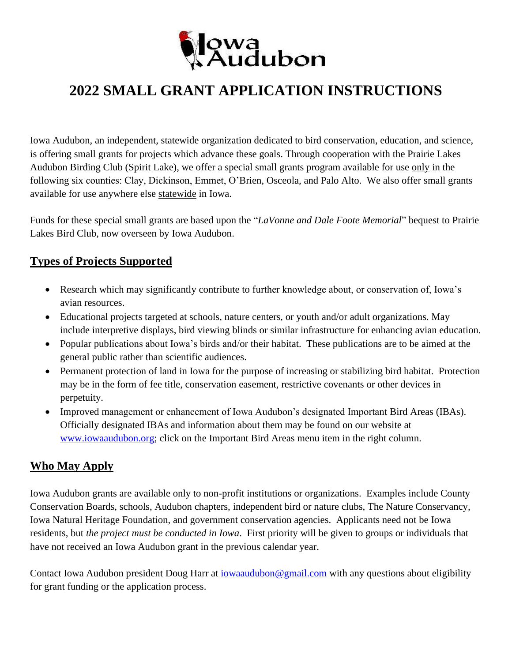

# **2022 SMALL GRANT APPLICATION INSTRUCTIONS**

Iowa Audubon, an independent, statewide organization dedicated to bird conservation, education, and science, is offering small grants for projects which advance these goals. Through cooperation with the Prairie Lakes Audubon Birding Club (Spirit Lake), we offer a special small grants program available for use only in the following six counties: Clay, Dickinson, Emmet, O'Brien, Osceola, and Palo Alto. We also offer small grants available for use anywhere else statewide in Iowa.

Funds for these special small grants are based upon the "*LaVonne and Dale Foote Memorial*" bequest to Prairie Lakes Bird Club, now overseen by Iowa Audubon.

## **Types of Projects Supported**

- Research which may significantly contribute to further knowledge about, or conservation of, Iowa's avian resources.
- Educational projects targeted at schools, nature centers, or youth and/or adult organizations. May include interpretive displays, bird viewing blinds or similar infrastructure for enhancing avian education.
- Popular publications about Iowa's birds and/or their habitat. These publications are to be aimed at the general public rather than scientific audiences.
- Permanent protection of land in Iowa for the purpose of increasing or stabilizing bird habitat. Protection may be in the form of fee title, conservation easement, restrictive covenants or other devices in perpetuity.
- Improved management or enhancement of Iowa Audubon's designated Important Bird Areas (IBAs). Officially designated IBAs and information about them may be found on our website at [www.iowaaudubon.org;](http://www.iowaaudubon.org/) click on the Important Bird Areas menu item in the right column.

## **Who May Apply**

Iowa Audubon grants are available only to non-profit institutions or organizations. Examples include County Conservation Boards, schools, Audubon chapters, independent bird or nature clubs, The Nature Conservancy, Iowa Natural Heritage Foundation, and government conservation agencies. Applicants need not be Iowa residents, but *the project must be conducted in Iowa*. First priority will be given to groups or individuals that have not received an Iowa Audubon grant in the previous calendar year.

Contact Iowa Audubon president Doug Harr at *iowaaudubon@gmail.com* with any questions about eligibility for grant funding or the application process.